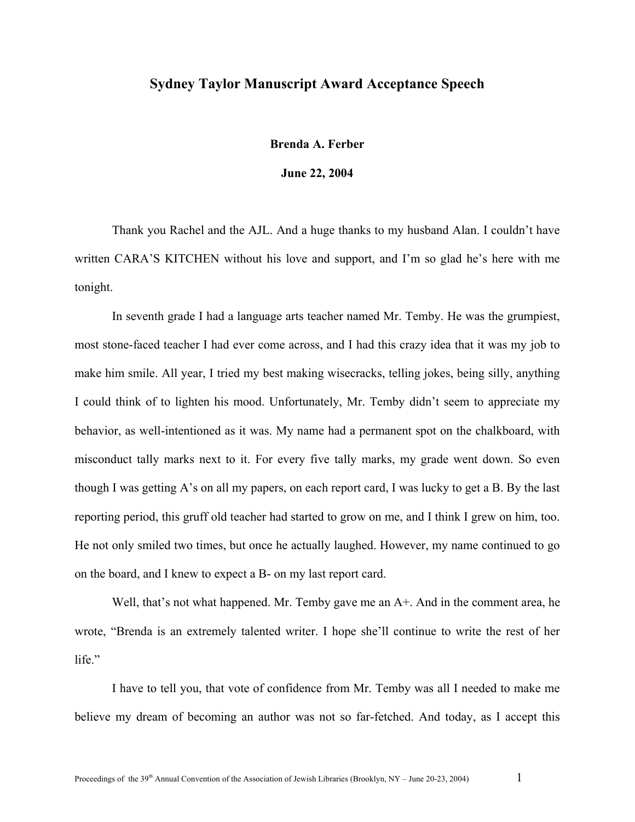## **Sydney Taylor Manuscript Award Acceptance Speech**

**Brenda A. Ferber** 

**June 22, 2004** 

Thank you Rachel and the AJL. And a huge thanks to my husband Alan. I couldn't have written CARA'S KITCHEN without his love and support, and I'm so glad he's here with me tonight.

In seventh grade I had a language arts teacher named Mr. Temby. He was the grumpiest, most stone-faced teacher I had ever come across, and I had this crazy idea that it was my job to make him smile. All year, I tried my best making wisecracks, telling jokes, being silly, anything I could think of to lighten his mood. Unfortunately, Mr. Temby didn't seem to appreciate my behavior, as well-intentioned as it was. My name had a permanent spot on the chalkboard, with misconduct tally marks next to it. For every five tally marks, my grade went down. So even though I was getting A's on all my papers, on each report card, I was lucky to get a B. By the last reporting period, this gruff old teacher had started to grow on me, and I think I grew on him, too. He not only smiled two times, but once he actually laughed. However, my name continued to go on the board, and I knew to expect a B- on my last report card.

Well, that's not what happened. Mr. Temby gave me an  $A<sup>+</sup>$ . And in the comment area, he wrote, "Brenda is an extremely talented writer. I hope she'll continue to write the rest of her life<sup>"</sup>

I have to tell you, that vote of confidence from Mr. Temby was all I needed to make me believe my dream of becoming an author was not so far-fetched. And today, as I accept this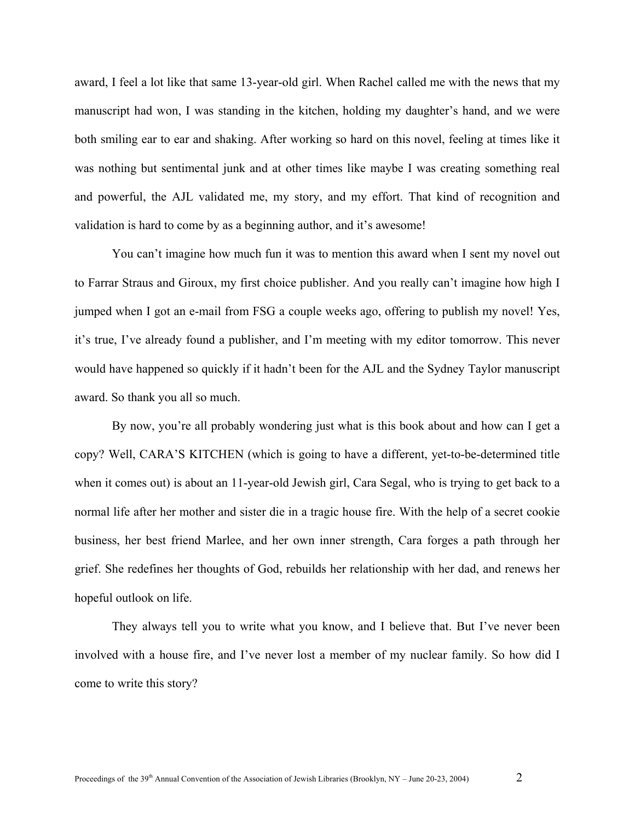award, I feel a lot like that same 13-year-old girl. When Rachel called me with the news that my manuscript had won, I was standing in the kitchen, holding my daughter's hand, and we were both smiling ear to ear and shaking. After working so hard on this novel, feeling at times like it was nothing but sentimental junk and at other times like maybe I was creating something real and powerful, the AJL validated me, my story, and my effort. That kind of recognition and validation is hard to come by as a beginning author, and it's awesome!

You can't imagine how much fun it was to mention this award when I sent my novel out to Farrar Straus and Giroux, my first choice publisher. And you really can't imagine how high I jumped when I got an e-mail from FSG a couple weeks ago, offering to publish my novel! Yes, it's true, I've already found a publisher, and I'm meeting with my editor tomorrow. This never would have happened so quickly if it hadn't been for the AJL and the Sydney Taylor manuscript award. So thank you all so much.

By now, you're all probably wondering just what is this book about and how can I get a copy? Well, CARA'S KITCHEN (which is going to have a different, yet-to-be-determined title when it comes out) is about an 11-year-old Jewish girl, Cara Segal, who is trying to get back to a normal life after her mother and sister die in a tragic house fire. With the help of a secret cookie business, her best friend Marlee, and her own inner strength, Cara forges a path through her grief. She redefines her thoughts of God, rebuilds her relationship with her dad, and renews her hopeful outlook on life.

They always tell you to write what you know, and I believe that. But I've never been involved with a house fire, and I've never lost a member of my nuclear family. So how did I come to write this story?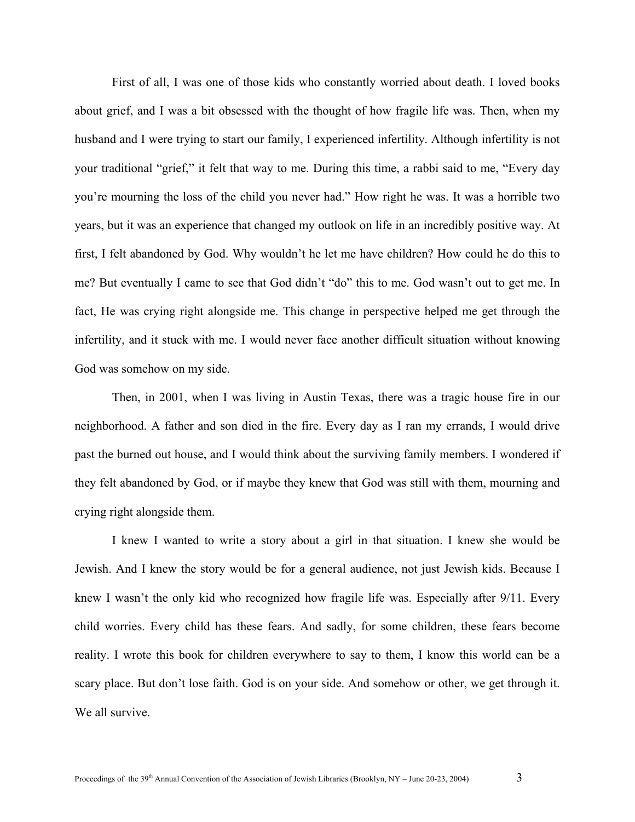First of all, I was one of those kids who constantly worried about death. I loved books about grief, and I was a bit obsessed with the thought of how fragile life was. Then, when my husband and I were trying to start our family, I experienced infertility. Although infertility is not your traditional "grief," it felt that way to me. During this time, a rabbi said to me, "Every day you're mourning the loss of the child you never had." How right he was. It was a horrible two years, but it was an experience that changed my outlook on life in an incredibly positive way. At first, I felt abandoned by God. Why wouldn't he let me have children? How could he do this to me? But eventually I came to see that God didn't "do" this to me. God wasn't out to get me. In fact, He was crying right alongside me. This change in perspective helped me get through the infertility, and it stuck with me. I would never face another difficult situation without knowing God was somehow on my side.

Then, in 2001, when I was living in Austin Texas, there was a tragic house fire in our neighborhood. A father and son died in the fire. Every day as I ran my errands, I would drive past the burned out house, and I would think about the surviving family members. I wondered if they felt abandoned by God, or if maybe they knew that God was still with them, mourning and crying right alongside them.

I knew I wanted to write a story about a girl in that situation. I knew she would be Jewish. And I knew the story would be for a general audience, not just Jewish kids. Because I knew I wasn't the only kid who recognized how fragile life was. Especially after 9/11. Every child worries. Every child has these fears. And sadly, for some children, these fears become reality. I wrote this book for children everywhere to say to them, I know this world can be a scary place. But don't lose faith. God is on your side. And somehow or other, we get through it. We all survive.